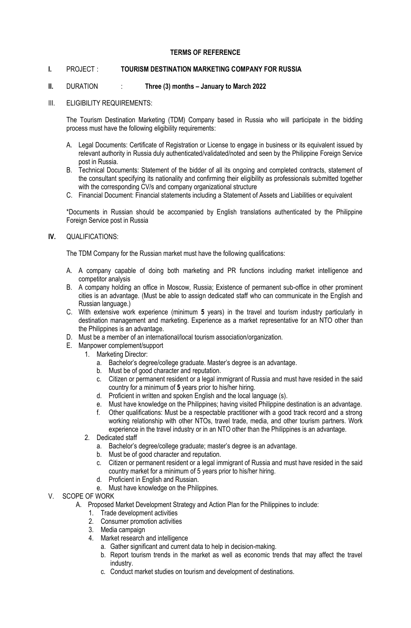# **TERMS OF REFERENCE**

# **I.** PROJECT : **TOURISM DESTINATION MARKETING COMPANY FOR RUSSIA**

# **II.** DURATION : **Three (3) months – January to March 2022**

III. ELIGIBILITY REQUIREMENTS:

The Tourism Destination Marketing (TDM) Company based in Russia who will participate in the bidding process must have the following eligibility requirements:

- A. Legal Documents: Certificate of Registration or License to engage in business or its equivalent issued by relevant authority in Russia duly authenticated/validated/noted and seen by the Philippine Foreign Service post in Russia.
- B. Technical Documents: Statement of the bidder of all its ongoing and completed contracts, statement of the consultant specifying its nationality and confirming their eligibility as professionals submitted together with the corresponding CV/s and company organizational structure
- C. Financial Document: Financial statements including a Statement of Assets and Liabilities or equivalent

\*Documents in Russian should be accompanied by English translations authenticated by the Philippine Foreign Service post in Russia

**IV.** QUALIFICATIONS:

The TDM Company for the Russian market must have the following qualifications:

- A. A company capable of doing both marketing and PR functions including market intelligence and competitor analysis
- B. A company holding an office in Moscow, Russia; Existence of permanent sub-office in other prominent cities is an advantage. (Must be able to assign dedicated staff who can communicate in the English and Russian language.)
- C. With extensive work experience (minimum **5** years) in the travel and tourism industry particularly in destination management and marketing. Experience as a market representative for an NTO other than the Philippines is an advantage.
- D. Must be a member of an international/local tourism association/organization.
- E. Manpower complement/support
	- 1. Marketing Director:
		- a. Bachelor's degree/college graduate. Master's degree is an advantage.
		- b. Must be of good character and reputation.
		- c. Citizen or permanent resident or a legal immigrant of Russia and must have resided in the said country for a minimum of **5** years prior to his/her hiring.
		- d. Proficient in written and spoken English and the local language (s).
		- e. Must have knowledge on the Philippines; having visited Philippine destination is an advantage.
		- f. Other qualifications: Must be a respectable practitioner with a good track record and a strong working relationship with other NTOs, travel trade, media, and other tourism partners. Work experience in the travel industry or in an NTO other than the Philippines is an advantage.
	- 2. Dedicated staff
		- a. Bachelor's degree/college graduate; master's degree is an advantage.
		- b. Must be of good character and reputation.
		- c. Citizen or permanent resident or a legal immigrant of Russia and must have resided in the said country market for a minimum of 5 years prior to his/her hiring.
		- d. Proficient in English and Russian.
		- e. Must have knowledge on the Philippines.
- V. SCOPE OF WORK
	- A. Proposed Market Development Strategy and Action Plan for the Philippines to include:
		- 1. Trade development activities
		- 2. Consumer promotion activities
		- 3. Media campaign
		- 4. Market research and intelligence
			- a. Gather significant and current data to help in decision-making.
			- b. Report tourism trends in the market as well as economic trends that may affect the travel industry.
			- c. Conduct market studies on tourism and development of destinations.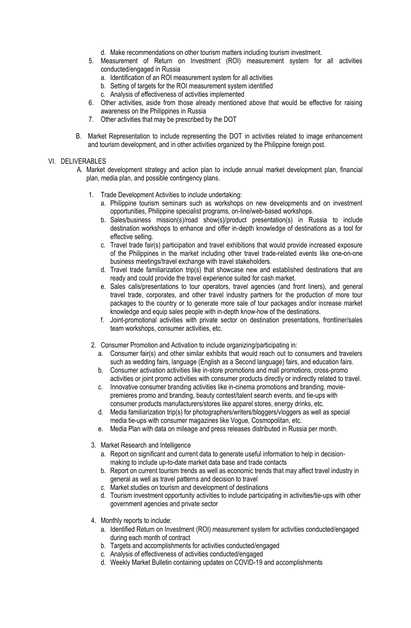- d. Make recommendations on other tourism matters including tourism investment.
- 5. Measurement of Return on Investment (ROI) measurement system for all activities conducted/engaged in Russia
	- a. Identification of an ROI measurement system for all activities
	- b. Setting of targets for the ROI measurement system identified
	- c. Analysis of effectiveness of activities implemented
- 6. Other activities, aside from those already mentioned above that would be effective for raising awareness on the Philippines in Russia
- 7. Other activities that may be prescribed by the DOT
- B. Market Representation to include representing the DOT in activities related to image enhancement and tourism development, and in other activities organized by the Philippine foreign post.

# VI. DELIVERABLES

- A. Market development strategy and action plan to include annual market development plan, financial plan, media plan, and possible contingency plans.
	- 1. Trade Development Activities to include undertaking:
		- a. Philippine tourism seminars such as workshops on new developments and on investment opportunities, Philippine specialist programs, on-line/web-based workshops.
		- b. Sales/business mission(s)/road show(s)/product presentation(s) in Russia to include destination workshops to enhance and offer in-depth knowledge of destinations as a tool for effective selling.
		- c. Travel trade fair(s) participation and travel exhibitions that would provide increased exposure of the Philippines in the market including other travel trade-related events like one-on-one business meetings/travel exchange with travel stakeholders.
		- d. Travel trade familiarization trip(s) that showcase new and established destinations that are ready and could provide the travel experience suited for cash market.
		- e. Sales calls/presentations to tour operators, travel agencies (and front liners), and general travel trade, corporates, and other travel industry partners for the production of more tour packages to the country or to generate more sale of tour packages and/or increase market knowledge and equip sales people with in-depth know-how of the destinations.
		- f. Joint-promotional activities with private sector on destination presentations, frontliner/sales team workshops, consumer activities, etc.
	- 2. Consumer Promotion and Activation to include organizing/participating in:
		- a. Consumer fair(s) and other similar exhibits that would reach out to consumers and travelers such as wedding fairs, language (English as a Second language) fairs, and education fairs.
		- b. Consumer activation activities like in-store promotions and mall promotions, cross-promo activities or joint promo activities with consumer products directly or indirectly related to travel.
		- c. Innovative consumer branding activities like in-cinema promotions and branding, moviepremieres promo and branding, beauty contest/talent search events, and tie-ups with consumer products manufacturers/stores like apparel stores, energy drinks, etc.
		- d. Media familiarization trip(s) for photographers/writers/bloggers/vloggers as well as special media tie-ups with consumer magazines like Vogue, Cosmopolitan, etc.
		- e. Media Plan with data on mileage and press releases distributed in Russia per month.
	- 3. Market Research and Intelligence
		- a. Report on significant and current data to generate useful information to help in decisionmaking to include up-to-date market data base and trade contacts
		- b. Report on current tourism trends as well as economic trends that may affect travel industry in general as well as travel patterns and decision to travel
		- c. Market studies on tourism and development of destinations
		- d. Tourism investment opportunity activities to include participating in activities/tie-ups with other government agencies and private sector
	- 4. Monthly reports to include:
		- a. Identified Return on Investment (ROI) measurement system for activities conducted/engaged during each month of contract
		- b. Targets and accomplishments for activities conducted/engaged
		- c. Analysis of effectiveness of activities conducted/engaged
		- d. Weekly Market Bulletin containing updates on COVID-19 and accomplishments